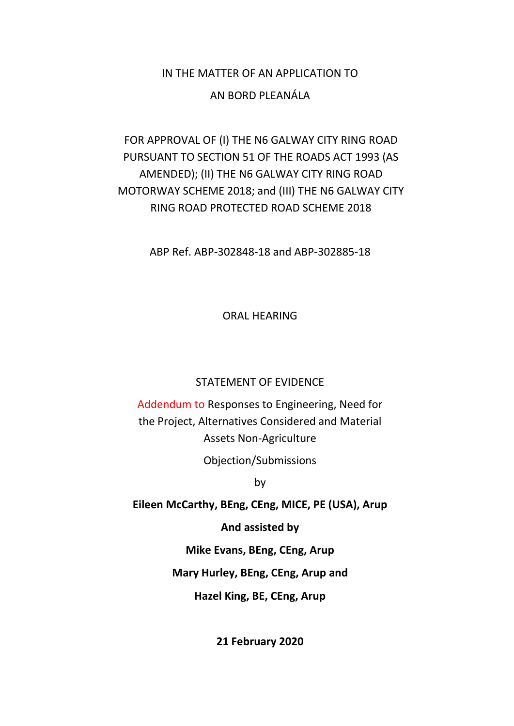## IN THE MATTER OF AN APPLICATION TO

## AN BORD PLEANÁLA

## FOR APPROVAL OF (I) THE N6 GALWAY CITY RING ROAD PURSUANT TO SECTION 51 OF THE ROADS ACT 1993 (AS AMENDED); (II) THE N6 GALWAY CITY RING ROAD MOTORWAY SCHEME 2018; and (III) THE N6 GALWAY CITY RING ROAD PROTECTED ROAD SCHEME 2018

ABP Ref. ABP-302848-18 and ABP-302885-18

ORAL HEARING

## STATEMENT OF EVIDENCE

Addendum to Responses to Engineering, Need for the Project, Alternatives Considered and Material Assets Non-Agriculture

Objection/Submissions

by

**Eileen McCarthy, BEng, CEng, MICE, PE (USA), Arup** 

**And assisted by** 

**Mike Evans, BEng, CEng, Arup** 

**Mary Hurley, BEng, CEng, Arup and**

**Hazel King, BE, CEng, Arup**

**21 February 2020**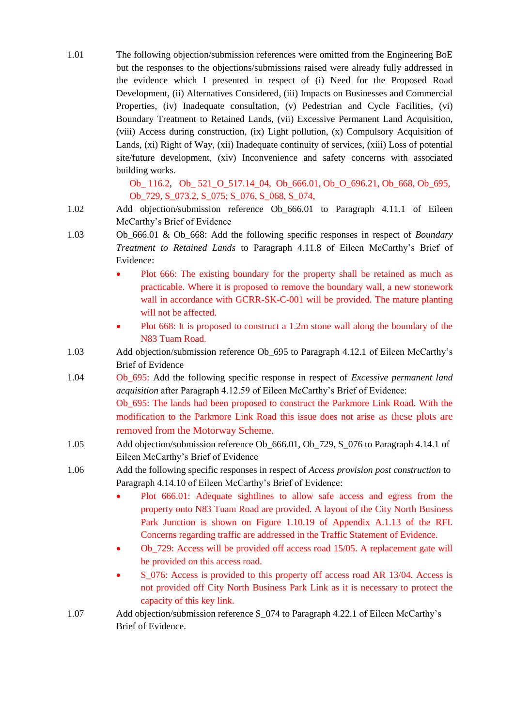1.01 The following objection/submission references were omitted from the Engineering BoE but the responses to the objections/submissions raised were already fully addressed in the evidence which I presented in respect of (i) Need for the Proposed Road Development, (ii) Alternatives Considered, (iii) Impacts on Businesses and Commercial Properties, (iv) Inadequate consultation, (v) Pedestrian and Cycle Facilities, (vi) Boundary Treatment to Retained Lands, (vii) Excessive Permanent Land Acquisition, (viii) Access during construction, (ix) Light pollution, (x) Compulsory Acquisition of Lands, (xi) Right of Way, (xii) Inadequate continuity of services, (xiii) Loss of potential site/future development, (xiv) Inconvenience and safety concerns with associated building works.

> Ob\_ 116.2, Ob\_ 521\_O\_517.14\_04, Ob\_666.01, Ob\_O\_696.21, Ob\_668, Ob\_695, Ob 729, S 073.2, S 075; S 076, S 068, S 074,

- 1.02 Add objection/submission reference Ob\_666.01 to Paragraph 4.11.1 of Eileen McCarthy's Brief of Evidence
- 1.03 Ob\_666.01 & Ob\_668: Add the following specific responses in respect of *Boundary Treatment to Retained Lands* to Paragraph 4.11.8 of Eileen McCarthy's Brief of Evidence:
	- Plot 666: The existing boundary for the property shall be retained as much as practicable. Where it is proposed to remove the boundary wall, a new stonework wall in accordance with GCRR-SK-C-001 will be provided. The mature planting will not be affected.
	- Plot 668: It is proposed to construct a 1.2m stone wall along the boundary of the N83 Tuam Road.
- 1.03 Add objection/submission reference Ob\_695 to Paragraph 4.12.1 of Eileen McCarthy's Brief of Evidence
- 1.04 Ob\_695: Add the following specific response in respect of *Excessive permanent land acquisition* after Paragraph 4.12.59 of Eileen McCarthy's Brief of Evidence: Ob\_695: The lands had been proposed to construct the Parkmore Link Road. With the modification to the Parkmore Link Road this issue does not arise as these plots are removed from the Motorway Scheme.
- 1.05 Add objection/submission reference Ob\_666.01, Ob\_729, S\_076 to Paragraph 4.14.1 of Eileen McCarthy's Brief of Evidence
- 1.06 Add the following specific responses in respect of *Access provision post construction* to Paragraph 4.14.10 of Eileen McCarthy's Brief of Evidence:
	- Plot 666.01: Adequate sightlines to allow safe access and egress from the property onto N83 Tuam Road are provided. A layout of the City North Business Park Junction is shown on Figure 1.10.19 of Appendix A.1.13 of the RFI. Concerns regarding traffic are addressed in the Traffic Statement of Evidence.
	- Ob\_729: Access will be provided off access road 15/05. A replacement gate will be provided on this access road.
	- S 076: Access is provided to this property off access road AR 13/04. Access is not provided off City North Business Park Link as it is necessary to protect the capacity of this key link.
- 1.07 Add objection/submission reference S\_074 to Paragraph 4.22.1 of Eileen McCarthy's Brief of Evidence.